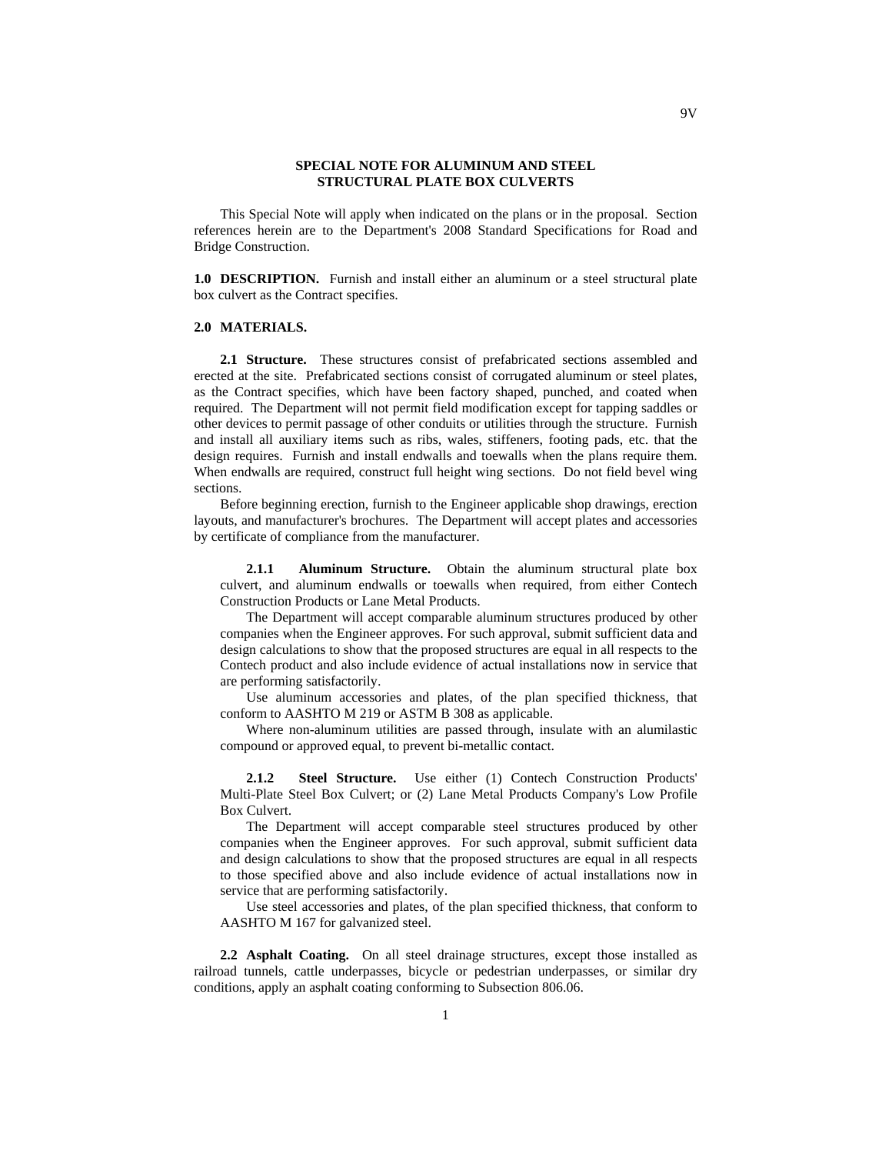## **SPECIAL NOTE FOR ALUMINUM AND STEEL STRUCTURAL PLATE BOX CULVERTS**

This Special Note will apply when indicated on the plans or in the proposal. Section references herein are to the Department's 2008 Standard Specifications for Road and Bridge Construction.

**1.0 DESCRIPTION.** Furnish and install either an aluminum or a steel structural plate box culvert as the Contract specifies.

### **2.0 MATERIALS.**

**2.1 Structure.** These structures consist of prefabricated sections assembled and erected at the site. Prefabricated sections consist of corrugated aluminum or steel plates, as the Contract specifies, which have been factory shaped, punched, and coated when required. The Department will not permit field modification except for tapping saddles or other devices to permit passage of other conduits or utilities through the structure. Furnish and install all auxiliary items such as ribs, wales, stiffeners, footing pads, etc. that the design requires. Furnish and install endwalls and toewalls when the plans require them. When endwalls are required, construct full height wing sections. Do not field bevel wing sections.

Before beginning erection, furnish to the Engineer applicable shop drawings, erection layouts, and manufacturer's brochures. The Department will accept plates and accessories by certificate of compliance from the manufacturer.

**2.1.1 Aluminum Structure.** Obtain the aluminum structural plate box culvert, and aluminum endwalls or toewalls when required, from either Contech Construction Products or Lane Metal Products.

The Department will accept comparable aluminum structures produced by other companies when the Engineer approves. For such approval, submit sufficient data and design calculations to show that the proposed structures are equal in all respects to the Contech product and also include evidence of actual installations now in service that are performing satisfactorily.

Use aluminum accessories and plates, of the plan specified thickness, that conform to AASHTO M 219 or ASTM B 308 as applicable.

Where non-aluminum utilities are passed through, insulate with an alumilastic compound or approved equal, to prevent bi-metallic contact.

**2.1.2 Steel Structure.** Use either (1) Contech Construction Products' Multi-Plate Steel Box Culvert; or (2) Lane Metal Products Company's Low Profile Box Culvert.

The Department will accept comparable steel structures produced by other companies when the Engineer approves. For such approval, submit sufficient data and design calculations to show that the proposed structures are equal in all respects to those specified above and also include evidence of actual installations now in service that are performing satisfactorily.

Use steel accessories and plates, of the plan specified thickness, that conform to AASHTO M 167 for galvanized steel.

**2.2 Asphalt Coating.** On all steel drainage structures, except those installed as railroad tunnels, cattle underpasses, bicycle or pedestrian underpasses, or similar dry conditions, apply an asphalt coating conforming to Subsection 806.06.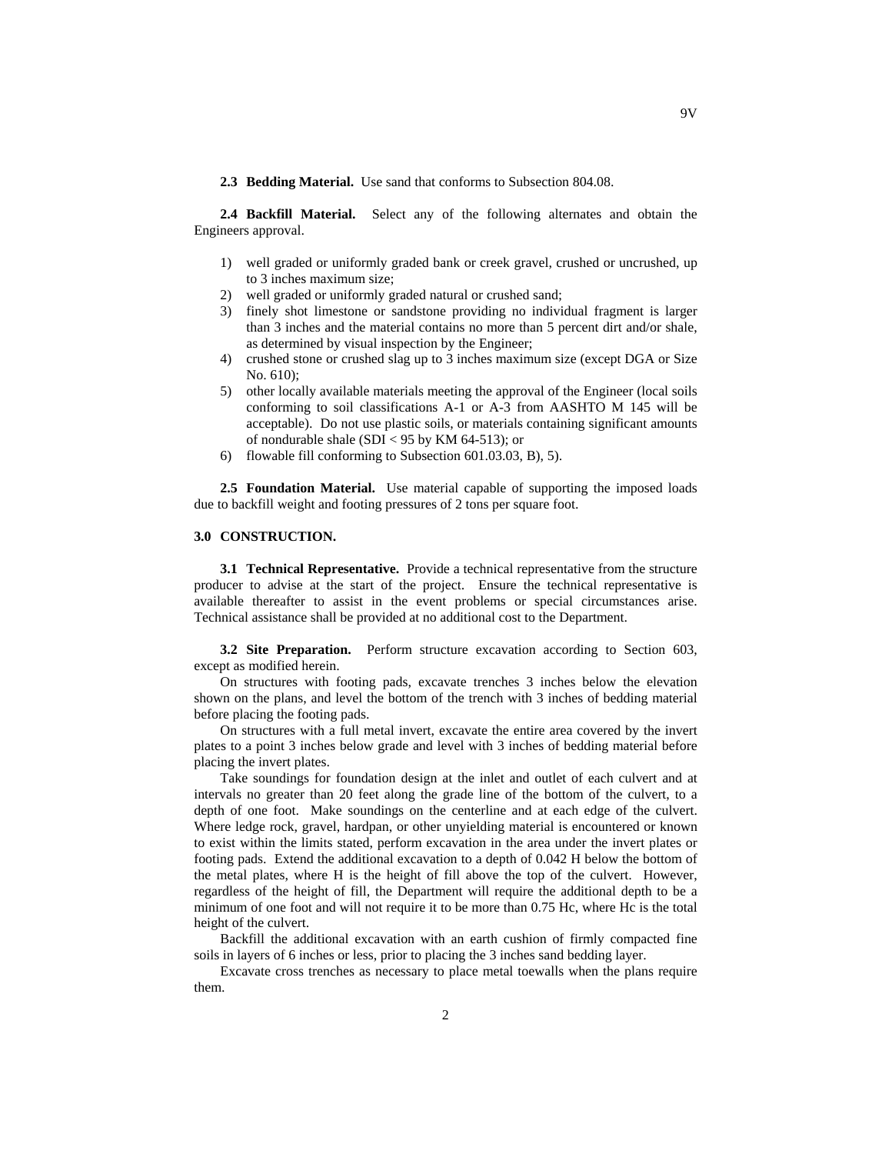**2.3 Bedding Material.** Use sand that conforms to Subsection 804.08.

**2.4 Backfill Material.** Select any of the following alternates and obtain the Engineers approval.

- 1) well graded or uniformly graded bank or creek gravel, crushed or uncrushed, up to 3 inches maximum size;
- 2) well graded or uniformly graded natural or crushed sand;
- 3) finely shot limestone or sandstone providing no individual fragment is larger than 3 inches and the material contains no more than 5 percent dirt and/or shale, as determined by visual inspection by the Engineer;
- 4) crushed stone or crushed slag up to 3 inches maximum size (except DGA or Size No. 610);
- 5) other locally available materials meeting the approval of the Engineer (local soils conforming to soil classifications A-1 or A-3 from AASHTO M 145 will be acceptable). Do not use plastic soils, or materials containing significant amounts of nondurable shale (SDI < 95 by KM 64-513); or
- 6) flowable fill conforming to Subsection 601.03.03, B), 5).

**2.5 Foundation Material.** Use material capable of supporting the imposed loads due to backfill weight and footing pressures of 2 tons per square foot.

## **3.0 CONSTRUCTION.**

**3.1 Technical Representative.** Provide a technical representative from the structure producer to advise at the start of the project. Ensure the technical representative is available thereafter to assist in the event problems or special circumstances arise. Technical assistance shall be provided at no additional cost to the Department.

**3.2 Site Preparation.** Perform structure excavation according to Section 603, except as modified herein.

On structures with footing pads, excavate trenches 3 inches below the elevation shown on the plans, and level the bottom of the trench with 3 inches of bedding material before placing the footing pads.

On structures with a full metal invert, excavate the entire area covered by the invert plates to a point 3 inches below grade and level with 3 inches of bedding material before placing the invert plates.

Take soundings for foundation design at the inlet and outlet of each culvert and at intervals no greater than 20 feet along the grade line of the bottom of the culvert, to a depth of one foot. Make soundings on the centerline and at each edge of the culvert. Where ledge rock, gravel, hardpan, or other unyielding material is encountered or known to exist within the limits stated, perform excavation in the area under the invert plates or footing pads. Extend the additional excavation to a depth of 0.042 H below the bottom of the metal plates, where H is the height of fill above the top of the culvert. However, regardless of the height of fill, the Department will require the additional depth to be a minimum of one foot and will not require it to be more than 0.75 Hc, where Hc is the total height of the culvert.

Backfill the additional excavation with an earth cushion of firmly compacted fine soils in layers of 6 inches or less, prior to placing the 3 inches sand bedding layer.

Excavate cross trenches as necessary to place metal toewalls when the plans require them.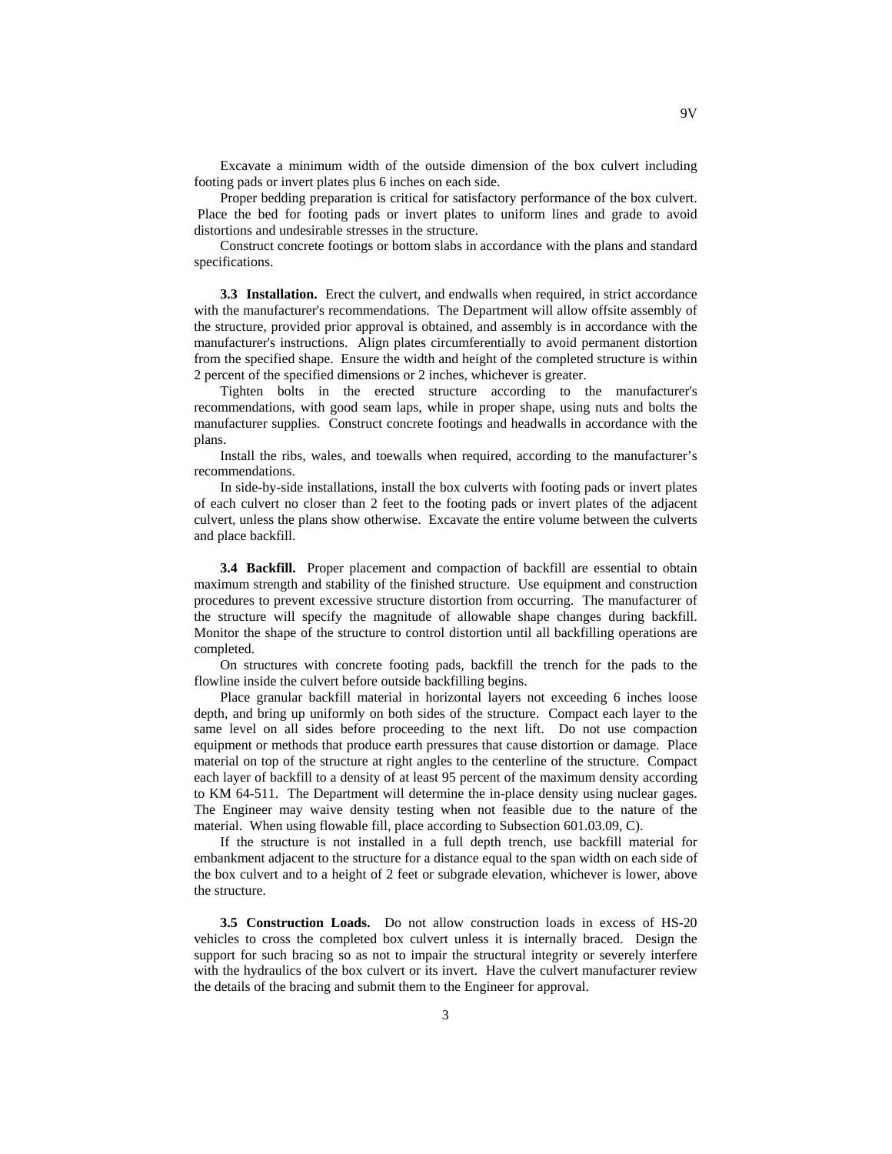Excavate a minimum width of the outside dimension of the box culvert including footing pads or invert plates plus 6 inches on each side.

Proper bedding preparation is critical for satisfactory performance of the box culvert. Place the bed for footing pads or invert plates to uniform lines and grade to avoid distortions and undesirable stresses in the structure.

Construct concrete footings or bottom slabs in accordance with the plans and standard specifications.

**3.3 Installation.** Erect the culvert, and endwalls when required, in strict accordance with the manufacturer's recommendations. The Department will allow offsite assembly of the structure, provided prior approval is obtained, and assembly is in accordance with the manufacturer's instructions. Align plates circumferentially to avoid permanent distortion from the specified shape. Ensure the width and height of the completed structure is within 2 percent of the specified dimensions or 2 inches, whichever is greater.

Tighten bolts in the erected structure according to the manufacturer's recommendations, with good seam laps, while in proper shape, using nuts and bolts the manufacturer supplies. Construct concrete footings and headwalls in accordance with the plans.

Install the ribs, wales, and toewalls when required, according to the manufacturer's recommendations.

In side-by-side installations, install the box culverts with footing pads or invert plates of each culvert no closer than 2 feet to the footing pads or invert plates of the adjacent culvert, unless the plans show otherwise. Excavate the entire volume between the culverts and place backfill.

**3.4 Backfill.** Proper placement and compaction of backfill are essential to obtain maximum strength and stability of the finished structure. Use equipment and construction procedures to prevent excessive structure distortion from occurring. The manufacturer of the structure will specify the magnitude of allowable shape changes during backfill. Monitor the shape of the structure to control distortion until all backfilling operations are completed.

On structures with concrete footing pads, backfill the trench for the pads to the flowline inside the culvert before outside backfilling begins.

Place granular backfill material in horizontal layers not exceeding 6 inches loose depth, and bring up uniformly on both sides of the structure. Compact each layer to the same level on all sides before proceeding to the next lift. Do not use compaction equipment or methods that produce earth pressures that cause distortion or damage. Place material on top of the structure at right angles to the centerline of the structure. Compact each layer of backfill to a density of at least 95 percent of the maximum density according to KM 64-511. The Department will determine the in-place density using nuclear gages. The Engineer may waive density testing when not feasible due to the nature of the material. When using flowable fill, place according to Subsection 601.03.09, C).

If the structure is not installed in a full depth trench, use backfill material for embankment adjacent to the structure for a distance equal to the span width on each side of the box culvert and to a height of 2 feet or subgrade elevation, whichever is lower, above the structure.

**3.5 Construction Loads.** Do not allow construction loads in excess of HS-20 vehicles to cross the completed box culvert unless it is internally braced. Design the support for such bracing so as not to impair the structural integrity or severely interfere with the hydraulics of the box culvert or its invert. Have the culvert manufacturer review the details of the bracing and submit them to the Engineer for approval.